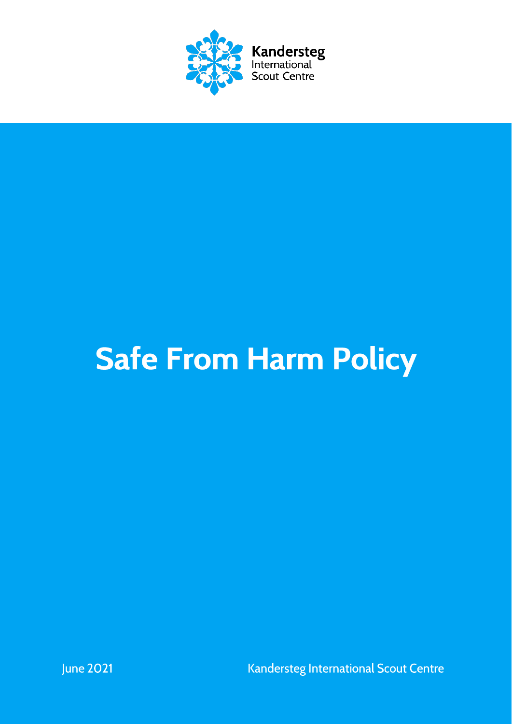

# **Safe From Harm Policy**

Kandersteg International Scout Centre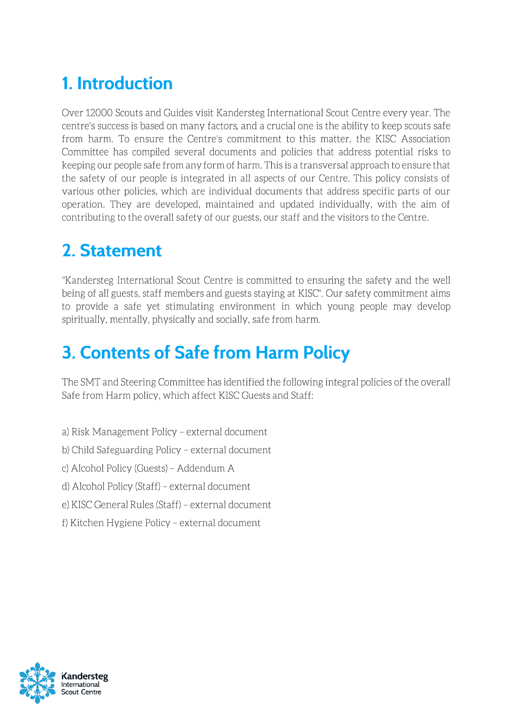# 1. Introduction

Over 12000 Scouts and Guides visit Kandersteg International Scout Centre every year. The centre's success is based on many factors, and a crucial one is the ability to keep scouts safe from harm. To ensure the Centre's commitment to this matter, the KISC Association Committee has compiled several documents and policies that address potential risks to keeping our people safe from any form of harm. This is a transversal approach to ensure that the safety of our people is integrated in all aspects of our Centre. This policy consists of various other policies, which are individual documents that address specific parts of our operation. They are developed, maintained and updated individually, with the aim of contributing to the overall safety of our guests, our staff and the visitors to the Centre.

# 2. Statement

"Kandersteg International Scout Centre is committed to ensuring the safety and the well being of all guests, staff members and guests staying at KISC". Our safety commitment aims to provide a safe yet stimulating environment in which young people may develop spiritually, mentally, physically and socially, safe from harm.

# 3. Contents of Safe from Harm Policy

The SMT and Steering Committee has identified the following integral policies of the overall Safe from Harm policy, which affect KISC Guests and Staff:

- a) Risk Management Policy external document
- b) Child Safeguarding Policy external document
- c) Alcohol Policy (Guests) Addendum A
- d) Alcohol Policy (Staff) external document
- e) KISC General Rules (Staff) external document
- f) Kitchen Hygiene Policy external document

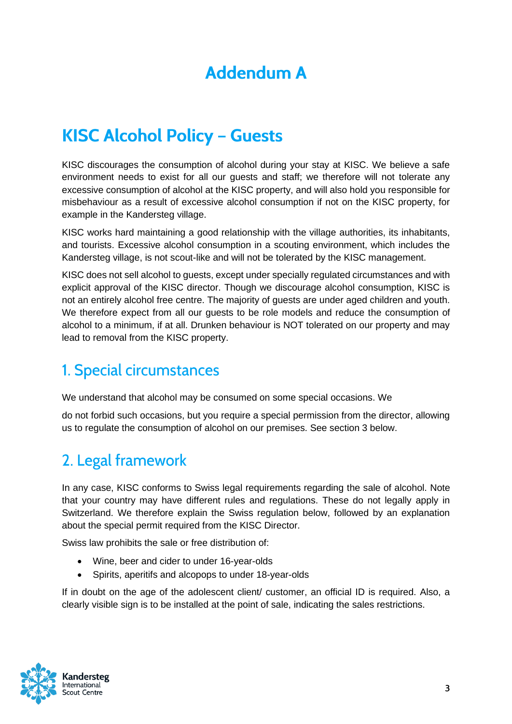## **Addendum A**

# **KISC Alcohol Policy - Guests**

KISC discourages the consumption of alcohol during your stay at KISC. We believe a safe environment needs to exist for all our guests and staff; we therefore will not tolerate any excessive consumption of alcohol at the KISC property, and will also hold you responsible for misbehaviour as a result of excessive alcohol consumption if not on the KISC property, for example in the Kandersteg village.

KISC works hard maintaining a good relationship with the village authorities, its inhabitants, and tourists. Excessive alcohol consumption in a scouting environment, which includes the Kandersteg village, is not scout-like and will not be tolerated by the KISC management.

KISC does not sell alcohol to guests, except under specially regulated circumstances and with explicit approval of the KISC director. Though we discourage alcohol consumption, KISC is not an entirely alcohol free centre. The majority of guests are under aged children and youth. We therefore expect from all our guests to be role models and reduce the consumption of alcohol to a minimum, if at all. Drunken behaviour is NOT tolerated on our property and may lead to removal from the KISC property.

### 1. Special circumstances

We understand that alcohol may be consumed on some special occasions. We

do not forbid such occasions, but you require a special permission from the director, allowing us to regulate the consumption of alcohol on our premises. See section 3 below.

## 2. Legal framework

In any case, KISC conforms to Swiss legal requirements regarding the sale of alcohol. Note that your country may have different rules and regulations. These do not legally apply in Switzerland. We therefore explain the Swiss regulation below, followed by an explanation about the special permit required from the KISC Director.

Swiss law prohibits the sale or free distribution of:

- Wine, beer and cider to under 16-year-olds
- Spirits, aperitifs and alcopops to under 18-year-olds

If in doubt on the age of the adolescent client/ customer, an official ID is required. Also, a clearly visible sign is to be installed at the point of sale, indicating the sales restrictions.